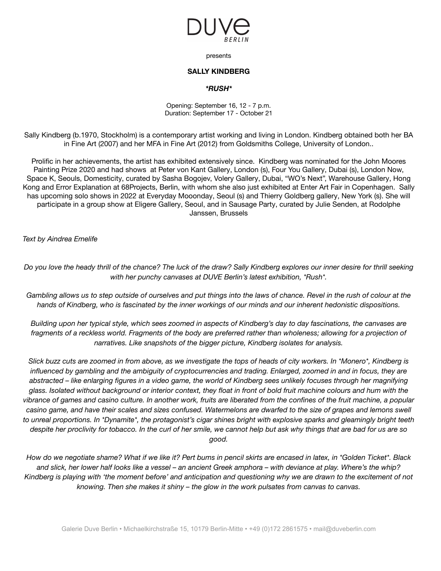

presents

## **SALLY KINDBERG**

## *\*RUSH\**

Opening: September 16, 12 - 7 p.m. Duration: September 17 - October 21

Sally Kindberg (b.1970, Stockholm) is a contemporary artist working and living in London. Kindberg obtained both her BA in Fine Art (2007) and her MFA in Fine Art (2012) from Goldsmiths College, University of London..

Prolific in her achievements, the artist has exhibited extensively since. Kindberg was nominated for the John Moores Painting Prize 2020 and had shows at Peter von Kant Gallery, London (s), Four You Gallery, Dubai (s), London Now, Space K, Seouls, Domesticity, curated by Sasha Bogojev, Volery Gallery, Dubai, "WO's Next", Warehouse Gallery, Hong Kong and Error Explanation at 68Projects, Berlin, with whom she also just exhibited at Enter Art Fair in Copenhagen. Sally has upcoming solo shows in 2022 at Everyday Mooonday, Seoul (s) and Thierry Goldberg gallery, New York (s). She will participate in a group show at Eligere Gallery, Seoul, and in Sausage Party, curated by Julie Senden, at Rodolphe Janssen, Brussels

*Text by Aindrea Emelife*

Do you love the heady thrill of the chance? The luck of the draw? Sally Kindberg explores our inner desire for thrill seeking *with her punchy canvases at DUVE Berlin's latest exhibition, \*Rush\*.*

Gambling allows us to step outside of ourselves and put things into the laws of chance. Revel in the rush of colour at the hands of Kindberg, who is fascinated by the inner workings of our minds and our inherent hedonistic dispositions.

Building upon her typical style, which sees zoomed in aspects of Kindberg's day to day fascinations, the canvases are fragments of a reckless world. Fragments of the body are preferred rather than wholeness; allowing for a projection of *narratives. Like snapshots of the bigger picture, Kindberg isolates for analysis.*

Slick buzz cuts are zoomed in from above, as we investigate the tops of heads of city workers. In \*Monero\*, Kindberg is influenced by gambling and the ambiguity of cryptocurrencies and trading. Enlarged, zoomed in and in focus, they are abstracted - like enlarging figures in a video game, the world of Kindberg sees unlikely focuses through her magnifying glass. Isolated without background or interior context, they float in front of bold fruit machine colours and hum with the vibrance of games and casino culture. In another work, fruits are liberated from the confines of the fruit machine, a popular casino game, and have their scales and sizes confused. Watermelons are dwarfed to the size of grapes and lemons swell to unreal proportions. In \*Dynamite\*, the protagonist's cigar shines bright with explosive sparks and gleamingly bright teeth despite her proclivity for tobacco. In the curl of her smile, we cannot help but ask why things that are bad for us are so *good.*

How do we negotiate shame? What if we like it? Pert bums in pencil skirts are encased in latex, in \*Golden Ticket\*. Black and slick, her lower half looks like a vessel - an ancient Greek amphora - with deviance at play. Where's the whip? Kindberg is playing with 'the moment before' and anticipation and questioning why we are drawn to the excitement of not *knowing. Then she makes it shiny – the glow in the work pulsates from canvas to canvas.*